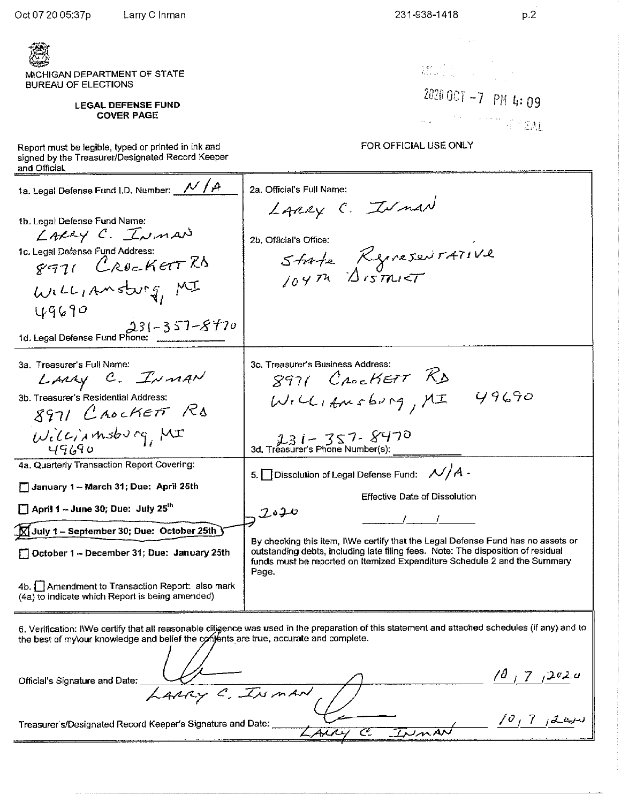<u>्रीय</u>

| MICHIGAN DEPARTMENT OF STATE<br><b>BUREAU OF ELECTIONS</b><br><b>LEGAL DEFENSE FUND</b><br><b>COVER PAGE</b><br>Report must be legible, typed or printed in ink and<br>signed by the Treasurer/Designated Record Keeper                              | $\widetilde{M}^T_{\rm max} \left( \begin{array}{cc} \widetilde{N}_{\rm max} & \widetilde{N}_{\rm max} \\ \widetilde{N}_{\rm max} & \widetilde{N}_{\rm max} \end{array} \right) \left( \begin{array}{cc} \widetilde{N}_{\rm max} & \widetilde{N}_{\rm max} \\ \widetilde{N}_{\rm max} & \widetilde{N}_{\rm max} \end{array} \right)$<br>2020 OCT -7 PM 4:09<br>All Constantinoper CAL<br>FOR OFFICIAL USE ONLY |
|------------------------------------------------------------------------------------------------------------------------------------------------------------------------------------------------------------------------------------------------------|---------------------------------------------------------------------------------------------------------------------------------------------------------------------------------------------------------------------------------------------------------------------------------------------------------------------------------------------------------------------------------------------------------------|
| and Official.<br>ta. Legal Defense Fund I.D. Number: V/A<br>1b. Legal Defense Fund Name:<br>LARRY C. INMAN<br>1c. Legal Defense Fund Address:<br>8971 CROCKETTRA<br>WILLIAMSburg, MI<br>49690<br>$231 - 357 - 8470$<br>1d. Legal Defense Fund Phone: | 2a. Official's Full Name:<br>LARRY C. INMAN<br>2b. Official's Office:<br>State Represent 471Ve                                                                                                                                                                                                                                                                                                                |
| 3a. Treasurer's Full Name:<br>LARAY C. INMAN<br>3b. Treasurer's Residential Address:<br>8971 CROCKETT RD<br>Williamsburg, MI                                                                                                                         | 3c. Treasurer's Business Address:<br>8971 Crockett RD<br>49690<br>$W_{i}C_{i,km\text{sing}}/M$<br>$231 - 357 - 8470$<br>3d. Treasurer's Phone Number(s):                                                                                                                                                                                                                                                      |
| 4a. Quarterly Transaction Report Covering:<br>January 1 - March 31; Due: April 25th<br>$\Box$ April 1 – June 30; Due: July 25 <sup>th</sup><br>$\overline{\text{Q}}$ July 1 – September 30; Due:  October 25th $\overline{\text{Q}}$                 | 5. Dissolution of Legal Defense Fund: $\mathcal{N}/A$ -<br>Effective Date of Dissolution<br>2020                                                                                                                                                                                                                                                                                                              |
| October 1 - December 31; Due: January 25th<br>4b. Amendment to Transaction Report: also mark<br>(4a) to indicate which Report is being amended)                                                                                                      | By checking this item, INVe certify that the Legal Defense Fund has no assets or<br>outstanding debts, including late filing fees. Note: The disposition of residual<br>funds must be reported on Itemized Expenditure Schedule 2 and the Summary<br>Page.                                                                                                                                                    |

6. Verification: IWe certify that all reasonable diligence was used in the preparation of this statement and attached schedules (if any) and to the best of my\our knowledge and belief the conjents are true, accurate and complete.

 $\angle \theta$  $\frac{10}{17}$   $\frac{202}{10}$ Official's Signature and Date: ARRY C. INMAN  $10, 7, 120$ Treasurer's/Designated Record Keeper's Signature and Date: Irman  $4\sqrt{2}$ جح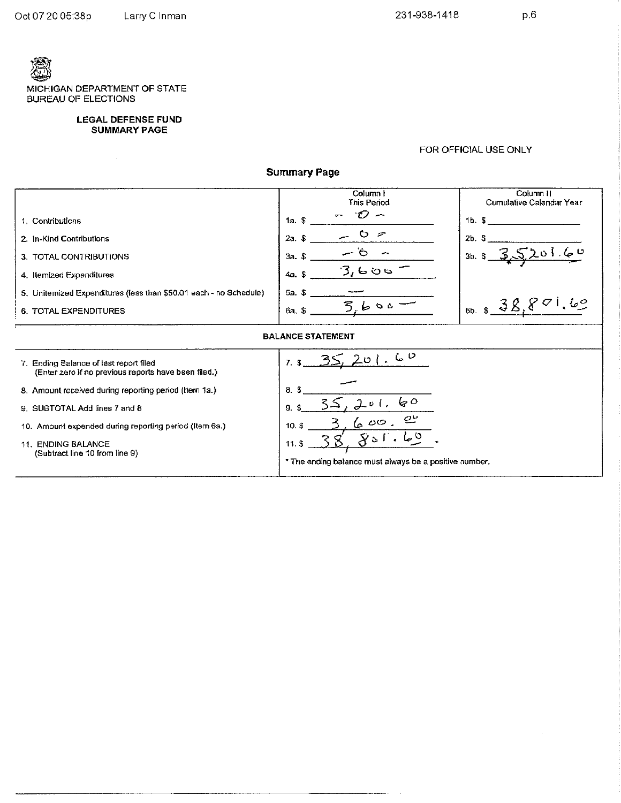$p,6$ 

 $\bar{z}$ 

MICHIGAN DEPARTMENT OF STATE **BUREAU OF ELECTIONS** 

#### **LEGAL DEFENSE FUND SUMMARY PAGE**

 $\sim$ 

#### FOR OFFICIAL USE ONLY

**Summary Page** 

|                                                                                                | Column I<br>This Period                                | Column II<br>Cumulative Calendar Year |  |  |
|------------------------------------------------------------------------------------------------|--------------------------------------------------------|---------------------------------------|--|--|
| 1. Contributions                                                                               | 1a. S                                                  | 16. S                                 |  |  |
| 2. In-Kind Contributions                                                                       | O<br>- 7<br>$2a.$ \$                                   | 2b.3                                  |  |  |
| 3. TOTAL CONTRIBUTIONS                                                                         | $3a.$ \$                                               | 3b.5                                  |  |  |
| 4. Itemized Expenditures                                                                       | 3,606<br>$4a.$ \$                                      |                                       |  |  |
| 5. Unitermized Expenditures (less than \$50.01 each - no Schedule)                             | 5a. S                                                  |                                       |  |  |
| <b>6. TOTAL EXPENDITURES</b>                                                                   | うしゃ。<br>$6a.$ \$                                       | $_{6b.5}$ $\Rightarrow$ X.            |  |  |
| <b>BALANCE STATEMENT</b>                                                                       |                                                        |                                       |  |  |
| 7. Ending Balance of last report filed<br>(Enter zero if no previous reports have been filed.) | しし<br>$201-$<br>$7.$ \$                                |                                       |  |  |
| 8. Amount received during reporting period (Item 1a.)                                          | $8.$ \$                                                |                                       |  |  |
| 9. SUBTOTAL Add lines 7 and 8                                                                  | $\zeta$<br>$01$ .<br>9\$                               |                                       |  |  |
| 10. Amount expended during reporting period (Item 6a.)                                         | $\mathcal{Q}^{\omega}$<br>600.<br>$10.$ \$             |                                       |  |  |
| <b>11. ENDING BALANCE</b><br>(Subtract line 10 from line 9)                                    | $\mathbf{v}_{3}$<br>11.5                               |                                       |  |  |
|                                                                                                | * The ending balance must always be a positive number. |                                       |  |  |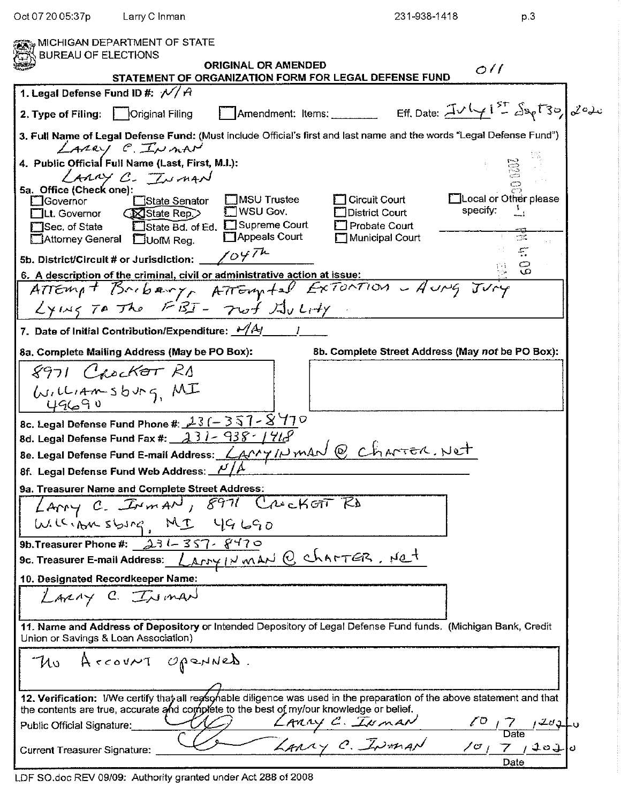| Oct 07 20 05:37p                                                                                   | Larry C Inman                                                                         |                                                                                                                                                                                                                     | 231-938-1418                                                               | p.3                                                                                         |
|----------------------------------------------------------------------------------------------------|---------------------------------------------------------------------------------------|---------------------------------------------------------------------------------------------------------------------------------------------------------------------------------------------------------------------|----------------------------------------------------------------------------|---------------------------------------------------------------------------------------------|
| <b>BUREAU OF ELECTIONS</b>                                                                         | MICHIGAN DEPARTMENT OF STATE                                                          |                                                                                                                                                                                                                     |                                                                            |                                                                                             |
|                                                                                                    |                                                                                       | <b>ORIGINAL OR AMENDED</b><br>STATEMENT OF ORGANIZATION FORM FOR LEGAL DEFENSE FUND                                                                                                                                 |                                                                            | O/I                                                                                         |
| 1. Legal Defense Fund ID #: $\sqrt{4}$                                                             |                                                                                       |                                                                                                                                                                                                                     |                                                                            |                                                                                             |
| 2. Type of Filing:         Original Filing                                                         |                                                                                       |                                                                                                                                                                                                                     |                                                                            | Amendment: Items: _______ Eff. Date: $\frac{\pi v \sqrt{4} i^{5} \cos \pi v}{2} \int d^2 u$ |
|                                                                                                    |                                                                                       | 3. Full Name of Legal Defense Fund: (Must include Official's first and last name and the words "Legal Defense Fund")                                                                                                |                                                                            |                                                                                             |
|                                                                                                    | LARRY C. INMAN<br>4. Public Official Full Name (Last, First, M.I.):<br>LARRY C. INMAN |                                                                                                                                                                                                                     |                                                                            |                                                                                             |
| 5a. Office (Check one):<br>¯]Governor<br><b>TLt.</b> Governor<br>Sec. of State<br>Attorney General | □State Senator<br><b>State Rep.&gt;</b><br>$\Box$ UofM Reg.                           | <b>ENSU Trustee</b><br>WSU Gov.<br>State Bd. of Ed. Supreme Court<br>Appeals Court                                                                                                                                  | Circuit Court<br><b>District Court</b><br>Probate Court<br>Municipal Court | I Local or Other please<br>specify:<br>7.                                                   |
|                                                                                                    | 5b. District/Circuit # or Jurisdiction: $\sqrt{OPT^{\mathcal{L}}}$                    |                                                                                                                                                                                                                     |                                                                            | $\mathbb{Z}^*$<br>ా                                                                         |
|                                                                                                    |                                                                                       | 6. A description of the criminal, civil or administrative action at issue:                                                                                                                                          |                                                                            | $\circ$                                                                                     |
|                                                                                                    |                                                                                       | ATTEMPT BACKERY, ATTEMPTED EXTENTION - AUNG JUNG<br>$Ly\omega_{5}$ TO The FBI- Trut $Ly$                                                                                                                            |                                                                            |                                                                                             |
|                                                                                                    | 7. Date of Initial Contribution/Expenditure: $\frac{1}{4}$                            |                                                                                                                                                                                                                     |                                                                            |                                                                                             |
|                                                                                                    | 8a. Complete Mailing Address (May be PO Box):                                         |                                                                                                                                                                                                                     | 8b. Complete Street Address (May not be PO Box):                           |                                                                                             |
|                                                                                                    | 8971 Crocker RD                                                                       |                                                                                                                                                                                                                     |                                                                            |                                                                                             |
|                                                                                                    | $U_{14m-5}$ bung, MI                                                                  |                                                                                                                                                                                                                     |                                                                            |                                                                                             |
|                                                                                                    | 8c. Legal Defense Fund Phone #: $\frac{13}{6}$ ( - 357 - $8$ 770                      |                                                                                                                                                                                                                     |                                                                            |                                                                                             |
|                                                                                                    | 8d. Legal Defense Fund Fax #: $131 - 938 - 1918$                                      |                                                                                                                                                                                                                     |                                                                            |                                                                                             |
|                                                                                                    |                                                                                       | Be. Legal Defense Fund E-mail Address: LAMYINMAN @ ChANTER. Net                                                                                                                                                     |                                                                            |                                                                                             |
|                                                                                                    | 8f. Legal Defense Fund Web Address: $\frac{\mu}{A}$                                   |                                                                                                                                                                                                                     |                                                                            |                                                                                             |
|                                                                                                    | 9a. Treasurer Name and Complete Street Address:                                       |                                                                                                                                                                                                                     |                                                                            |                                                                                             |
|                                                                                                    |                                                                                       | LAMY C. INMAN, 8971 Crocket RD                                                                                                                                                                                      |                                                                            |                                                                                             |
|                                                                                                    | W. Kipo sbsng, MI 49690                                                               |                                                                                                                                                                                                                     |                                                                            |                                                                                             |
|                                                                                                    | 9b. Treasurer Phone #: $231 - 357 - 8470$                                             |                                                                                                                                                                                                                     |                                                                            |                                                                                             |
|                                                                                                    |                                                                                       | 9c. Treasurer E-mail Address: <i>Larry IN man</i> Q charTER, Not                                                                                                                                                    |                                                                            |                                                                                             |
|                                                                                                    | 10. Designated Recordkeeper Name:                                                     |                                                                                                                                                                                                                     |                                                                            |                                                                                             |
|                                                                                                    | LARRY C. INMAN                                                                        |                                                                                                                                                                                                                     |                                                                            |                                                                                             |
| Union or Savings & Loan Association)                                                               |                                                                                       | 11. Name and Address of Depository or Intended Depository of Legal Defense Fund funds. (Michigan Bank, Credit                                                                                                       |                                                                            |                                                                                             |
|                                                                                                    | The Account openues.                                                                  |                                                                                                                                                                                                                     |                                                                            |                                                                                             |
|                                                                                                    |                                                                                       | 12. Verification: I/We certify that all reasonable diligence was used in the preparation of the above statement and that<br>the contents are true, accurate and complete to the best of my/our knowledge or belief. |                                                                            |                                                                                             |
| Public Official Signature:                                                                         |                                                                                       |                                                                                                                                                                                                                     | LARRY C. INMAN                                                             | $\frac{\sqrt{O} \sqrt{7} \sqrt{2}d \phi}{\text{Date}}$                                      |
| <b>Current Treasurer Signature:</b>                                                                |                                                                                       |                                                                                                                                                                                                                     | LARRY C. INMAN                                                             | 10/7/2010                                                                                   |
|                                                                                                    |                                                                                       |                                                                                                                                                                                                                     |                                                                            | Date                                                                                        |

LDF SO.doc REV 09/09: Authority granted under Act 288 of 2008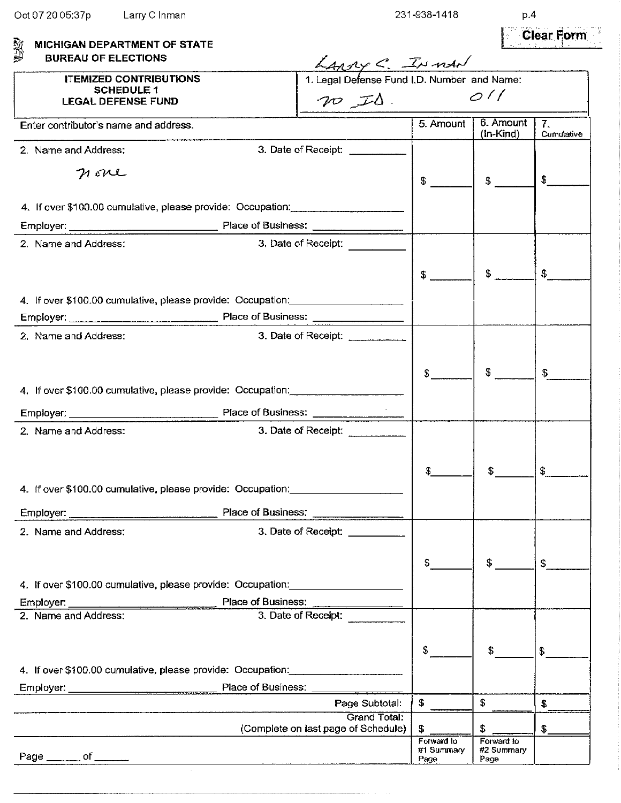p.4 **Clear Form** 

| 驳型<br>MICHIGAN DEPARTMENT OF STATE                                                |                                                         |                                  |                                  | I de Secondia de la provincia del provincia del provincia del provincia del provincia del provincia del provin<br>Del provincia del provincia del provincia del provincia del provincia del provincia del provincia del provinci |
|-----------------------------------------------------------------------------------|---------------------------------------------------------|----------------------------------|----------------------------------|----------------------------------------------------------------------------------------------------------------------------------------------------------------------------------------------------------------------------------|
| <b>BUREAU OF ELECTIONS</b>                                                        | $\angle$<br>1. Legal Defense Fund I.D. Number and Name: |                                  |                                  |                                                                                                                                                                                                                                  |
| <b>ITEMIZED CONTRIBUTIONS</b>                                                     |                                                         |                                  |                                  |                                                                                                                                                                                                                                  |
| <b>SCHEDULE 1</b><br><b>LEGAL DEFENSE FUND</b>                                    | $70$ IS. $0$                                            |                                  |                                  |                                                                                                                                                                                                                                  |
| Enter contributor's name and address.                                             |                                                         | 5. Amount                        | 6. Amount<br>$(In-Kind)$         | $\overline{I}$ .<br>Cumulative                                                                                                                                                                                                   |
| 2. Name and Address:                                                              | 3. Date of Receipt:                                     |                                  |                                  |                                                                                                                                                                                                                                  |
| nove                                                                              |                                                         | \$                               | $\mathfrak{p}$                   | \$                                                                                                                                                                                                                               |
| 4. If over \$100.00 cumulative, please provide: Occupation:                       |                                                         |                                  |                                  |                                                                                                                                                                                                                                  |
|                                                                                   |                                                         |                                  |                                  |                                                                                                                                                                                                                                  |
| 2. Name and Address:                                                              | 3. Date of Receipt: __________                          |                                  |                                  |                                                                                                                                                                                                                                  |
|                                                                                   |                                                         | $\frac{1}{2}$                    | $\mathfrak{F}$                   | \$                                                                                                                                                                                                                               |
| 4. If over \$100.00 cumulative, please provide: Occupation: _____________________ |                                                         |                                  |                                  |                                                                                                                                                                                                                                  |
|                                                                                   |                                                         |                                  |                                  |                                                                                                                                                                                                                                  |
| 2. Name and Address:                                                              | 3. Date of Receipt: __________                          |                                  |                                  |                                                                                                                                                                                                                                  |
|                                                                                   |                                                         |                                  |                                  |                                                                                                                                                                                                                                  |
|                                                                                   |                                                         | S                                | \$.                              | £.                                                                                                                                                                                                                               |
| 4. If over \$100.00 cumulative, please provide: Occupation: _____________________ |                                                         |                                  |                                  |                                                                                                                                                                                                                                  |
|                                                                                   |                                                         |                                  |                                  |                                                                                                                                                                                                                                  |
| Employer: Place of Business:<br>2. Name and Address:                              |                                                         |                                  |                                  |                                                                                                                                                                                                                                  |
|                                                                                   | 3. Date of Receipt:                                     |                                  |                                  |                                                                                                                                                                                                                                  |
|                                                                                   |                                                         |                                  |                                  |                                                                                                                                                                                                                                  |
|                                                                                   |                                                         |                                  | S                                | \$                                                                                                                                                                                                                               |
| 4. If over \$100.00 cumulative, please provide: Occupation:                       |                                                         |                                  |                                  |                                                                                                                                                                                                                                  |
| Place of Business:<br>Employer:                                                   |                                                         |                                  |                                  |                                                                                                                                                                                                                                  |
| 2. Name and Address:                                                              | 3. Date of Receipt:                                     |                                  |                                  |                                                                                                                                                                                                                                  |
|                                                                                   |                                                         |                                  |                                  |                                                                                                                                                                                                                                  |
|                                                                                   |                                                         | \$                               | \$                               | S                                                                                                                                                                                                                                |
| 4. If over \$100.00 cumulative, please provide: Occupation:                       |                                                         |                                  |                                  |                                                                                                                                                                                                                                  |
| Place of Business:<br>Employer:                                                   |                                                         |                                  |                                  |                                                                                                                                                                                                                                  |
| 2. Name and Address:                                                              | 3. Date of Receipt:                                     |                                  |                                  |                                                                                                                                                                                                                                  |
|                                                                                   |                                                         |                                  |                                  |                                                                                                                                                                                                                                  |
|                                                                                   |                                                         | \$                               | \$                               | $\mathbf{S}$                                                                                                                                                                                                                     |
| 4. If over \$100.00 cumulative, please provide: Occupation:                       |                                                         |                                  |                                  |                                                                                                                                                                                                                                  |
| Place of Business:                                                                |                                                         |                                  |                                  |                                                                                                                                                                                                                                  |
|                                                                                   | Page Subtotal:                                          | \$                               | \$                               | S.                                                                                                                                                                                                                               |
|                                                                                   | Grand Total:<br>(Complete on last page of Schedule)     | \$                               | \$                               | \$                                                                                                                                                                                                                               |
| Page _______ of ______                                                            |                                                         | Forward to<br>#1 Summary<br>Page | Forward to<br>#2 Summary<br>Page |                                                                                                                                                                                                                                  |

 $\bar{\alpha}$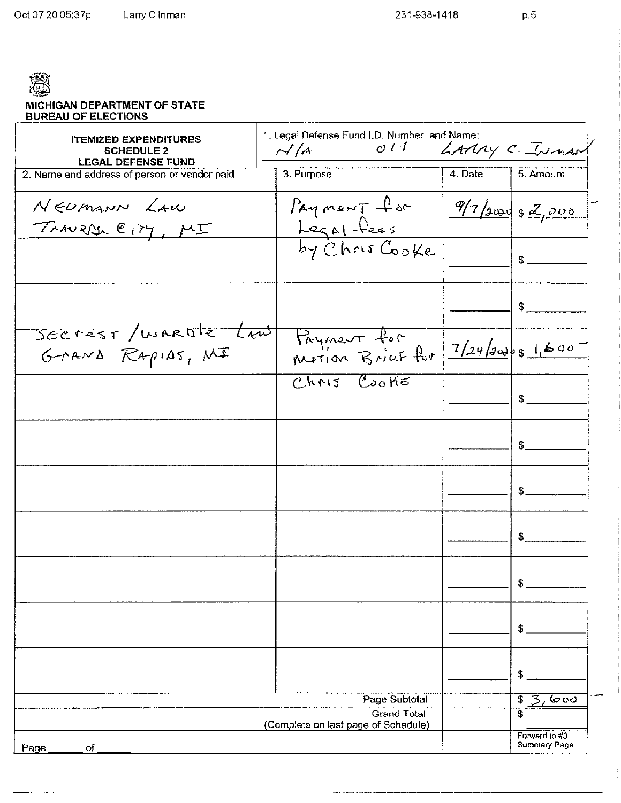$p.5$ 

| <b>MICHIGAN DEPARTMENT OF STATE</b> |
|-------------------------------------|
| <b>BUREAU OF ELECTIONS</b>          |

| <b>ITEMIZED EXPENDITURES</b><br><b>SCHEDULE 2</b> | 1. Legal Defense Fund I.D. Number and Name:<br>O(1)<br>$\sim$ / $\sim$ |         | LAMAY C. IN nart                     |
|---------------------------------------------------|------------------------------------------------------------------------|---------|--------------------------------------|
| <b>LEGAL DEFENSE FUND</b>                         |                                                                        |         |                                      |
| 2. Name and address of person or vendor paid      | 3. Purpose                                                             | 4. Date | 5. Amount                            |
| NEUMANN LAW<br>TRAURAL EIM, MI                    | Payment for                                                            |         | $9/7$ aury \$ 2,000                  |
|                                                   | Legal fees<br>by Chris Cooke                                           |         | \$                                   |
|                                                   |                                                                        |         | \$                                   |
| SECTEST/WARDTE Law<br>GraND RapiAs, MI            | Payment for                                                            |         | 7/24/30051600                        |
|                                                   | Chris Cooke                                                            |         | \$                                   |
|                                                   |                                                                        |         | \$                                   |
|                                                   |                                                                        |         | \$                                   |
|                                                   |                                                                        |         | \$                                   |
|                                                   |                                                                        |         | \$                                   |
|                                                   |                                                                        |         | \$                                   |
|                                                   |                                                                        |         | \$                                   |
|                                                   | Page Subtotal                                                          |         | \$<br>3.600                          |
|                                                   | <b>Grand Total</b><br>(Complete on last page of Schedule)              |         | \$                                   |
| оf<br>Page                                        |                                                                        |         | Forward to #3<br><b>Summary Page</b> |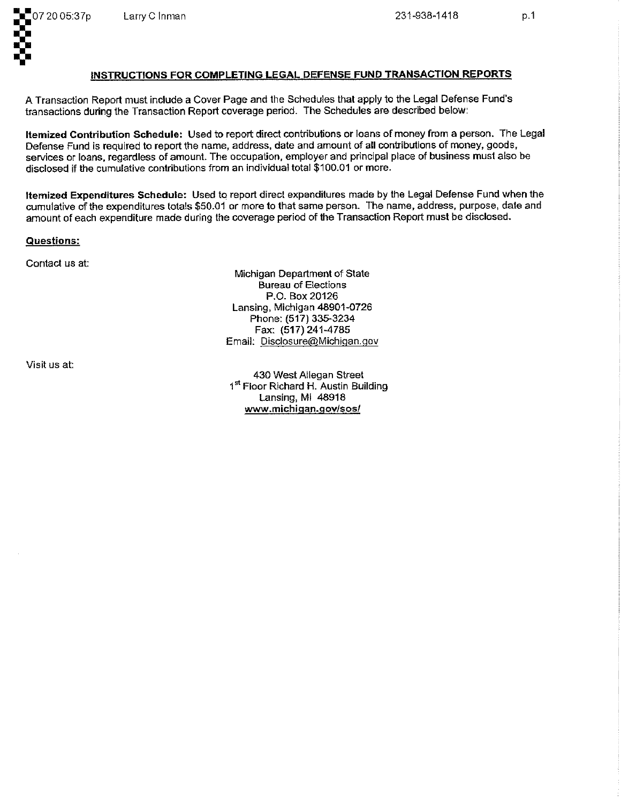

 $p.1$ 

### INSTRUCTIONS FOR COMPLETING LEGAL DEFENSE FUND TRANSACTION REPORTS

A Transaction Report must include a Cover Page and the Schedules that apply to the Legal Defense Fund's transactions during the Transaction Report coverage period. The Schedules are described below:

Itemized Contribution Schedule: Used to report direct contributions or loans of money from a person. The Legal Defense Fund is required to report the name, address, date and amount of all contributions of money, goods, services or loans, regardless of amount. The occupation, employer and principal place of business must also be disclosed if the cumulative contributions from an individual total \$100.01 or more.

Itemized Expenditures Schedule: Used to report direct expenditures made by the Legal Defense Fund when the cumulative of the expenditures totals \$50.01 or more to that same person. The name, address, purpose, date and amount of each expenditure made during the coverage period of the Transaction Report must be disclosed.

Questions:

Contact us at:

Michigan Department of State **Bureau of Elections** P.O. Box 20126 Lansing, Michigan 48901-0726 Phone: (517) 335-3234 Fax: (517) 241-4785 Email: Disclosure@Michigan.gov

Visit us at:

430 West Allegan Street 1st Floor Richard H. Austin Building Lansing, MI 48918 www.michigan.gov/sos/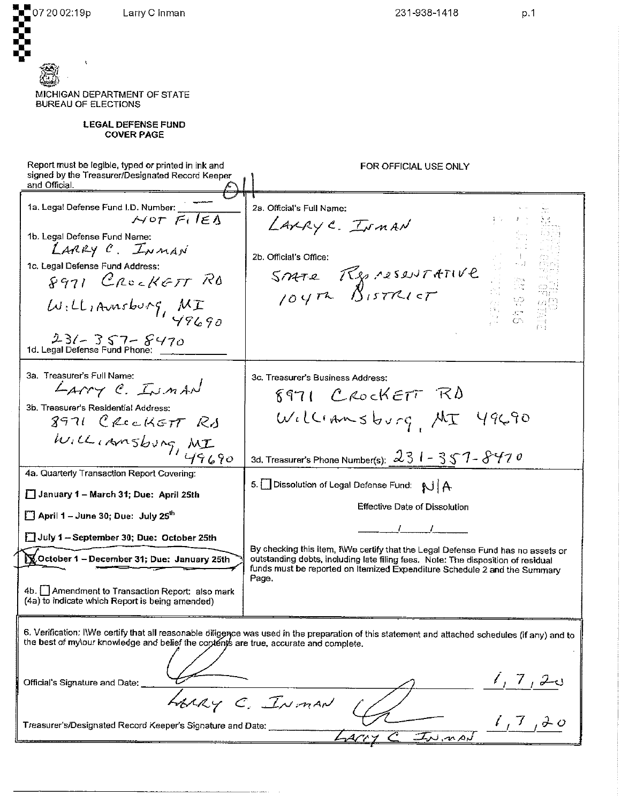07 20 02:19p Larry C Inman 231-938-1418  $p.1$ MICHIGAN DEPARTMENT OF STATE **BUREAU OF ELECTIONS LEGAL DEFENSE FUND COVER PAGE** Report must be legible, typed or printed in ink and FOR OFFICIAL USE ONLY signed by the Treasurer/Designated Record Keeper and Official 1a. Legal Defense Fund I.D. Number: 2a. Official's Full Name:  $NOT$  FilEA LAXRYC. INMAN 1b. Legal Defense Fund Name: LARRY C. INMAN Micial's Office:<br>Smare Representative 2b. Official's Office: 1c. Legal Defense Fund Address: 8971 CROCKETT RD Williamsburg, MI  $23/7357 - 8470$ <br>1d. Legal Defense Fund Phone: 3a. Treasurer's Full Name: 3c. Treasurer's Business Address: LAMY C. INMAN 8971 CROCKETT RD 3b. Treasurer's Residential Address: Williamsburg MI 49690 8971 CROCKETT RA WILLIAMSburg, MI 3d. Treasurer's Phone Number(s):  $231 - 357 - 8470$ 4a. Quarterly Transaction Report Covering: 5. Dissolution of Legal Defense Fund: NJ A January 1 - March 31; Due: April 25th **Effective Date of Dissolution** April 1 - June 30; Due: July 25<sup>th</sup>  $\mathcal{L}$  $\mathcal{L}$ July 1 - September 30; Due: October 25th By checking this item, IWe certify that the Legal Defense Fund has no assets or October 1 - December 31; Due: January 25th outstanding debts, including late filing fees. Note: The disposition of residual funds must be reported on Itemized Expenditure Schedule 2 and the Summary Page. 4b. Amendment to Transaction Report: also mark (4a) to indicate which Report is being amended) 6. Verification: IWe certify that all reasonable diliggnce was used in the preparation of this statement and attached schedules (if any) and to the best of my\our knowledge and belief the contents are true, accurate and complete.  $1, 7, 20$ Official's Signature and Date: LARRY C. INMAN  $1, 7, 20$ Treasurer's/Designated Record Keeper's Signature and Date: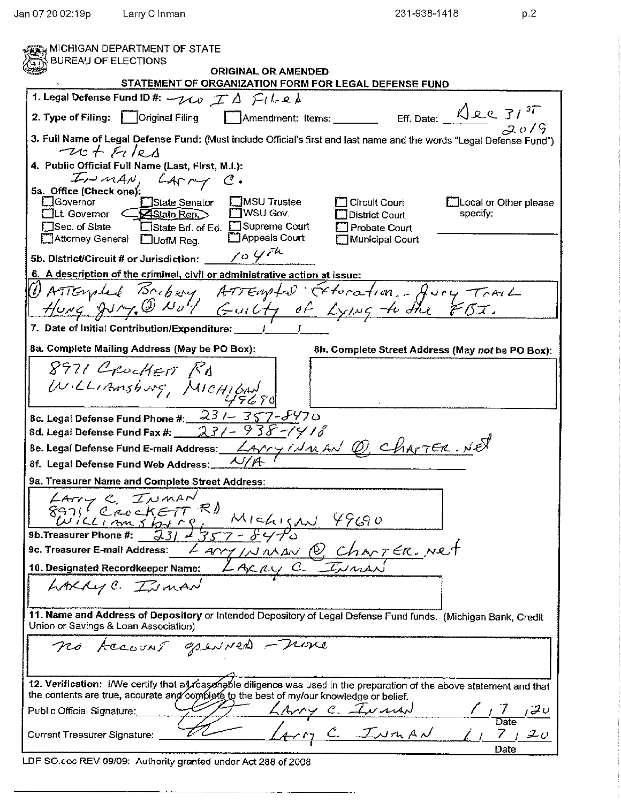$p, 2$ 

| MICHIGAN DEPARTMENT OF STATE<br><b>BUREAU OF ELECTIONS</b>                                                                                                                                                                                                                                                                                                                         |
|------------------------------------------------------------------------------------------------------------------------------------------------------------------------------------------------------------------------------------------------------------------------------------------------------------------------------------------------------------------------------------|
| <b>ORIGINAL OR AMENDED</b>                                                                                                                                                                                                                                                                                                                                                         |
| STATEMENT OF ORGANIZATION FORM FOR LEGAL DEFENSE FUND                                                                                                                                                                                                                                                                                                                              |
| 1. Legal Defense Fund ID #: $\neg \wedge \varphi \not\sqsubset \Delta \not\sqsubset \iota \vdash \vartriangle \vartriangle$                                                                                                                                                                                                                                                        |
| Eff. Date: $\sqrt{\mathcal{L}C} \mathcal{Z}I^{3T}$<br>Amendment: Items:<br>2. Type of Filing:<br>$\parallel$   Original Filing                                                                                                                                                                                                                                                     |
| 3. Full Name of Legal Defense Fund: (Must include Official's first and last name and the words "Legal Defense Fund")<br>$-20t$ fules                                                                                                                                                                                                                                               |
| 4. Public Official Full Name (Last, First, M.I.):<br>INMAN, LATTY C.                                                                                                                                                                                                                                                                                                               |
| 5a. Office (Check one):                                                                                                                                                                                                                                                                                                                                                            |
| Governor<br><b>EMSU</b> Trustee<br>State Senator<br>Local or Other please<br>Circuit Court<br><b>MSU Gov.</b><br>$\exists$ Lt. Governor $\angle$ $\blacktriangleright$ State Rep. $\triangleright$<br>specify:<br>District Court<br>□State Bd. of Ed. □Supreme Court<br><b>JSec. of State</b><br>Probate Court<br>Appeals Court<br>█Attorney General DUofM Reg.<br>Municipal Court |
| 104<br>5b. District/Circuit # or Jurisdiction:                                                                                                                                                                                                                                                                                                                                     |
| 6. A description of the criminal, civil or administrative action at issue:                                                                                                                                                                                                                                                                                                         |
|                                                                                                                                                                                                                                                                                                                                                                                    |
| ATTEMALL Bribary ATTEMPLON Exteration  Jury Trail                                                                                                                                                                                                                                                                                                                                  |
| 7. Date of Initial Contribution/Expenditure:                                                                                                                                                                                                                                                                                                                                       |
| 8a. Complete Mailing Address (May be PO Box):<br>8b. Complete Street Address (May not be PO Box):                                                                                                                                                                                                                                                                                  |
| 8971 Crocket Rd                                                                                                                                                                                                                                                                                                                                                                    |
|                                                                                                                                                                                                                                                                                                                                                                                    |
| WILLIAMSburg, MICHIBAN                                                                                                                                                                                                                                                                                                                                                             |
| 8c. Legal Defense Fund Phone #: $231 - 357 - 5470$                                                                                                                                                                                                                                                                                                                                 |
| 8d. Legal Defense Fund Fax #: $231 - 938$ -1418                                                                                                                                                                                                                                                                                                                                    |
| 8e. Legal Defense Fund E-mail Address: $\angle$ Arry I.J. N. AN Q, ChArTER. NE<br>8f. Legal Defense Fund Web Address:                                                                                                                                                                                                                                                              |
| 9a. Treasurer Name and Complete Street Address:                                                                                                                                                                                                                                                                                                                                    |
| $A - \sim C$ $T_{A}$ $MAN$                                                                                                                                                                                                                                                                                                                                                         |
| $8971$ CrockETT R)<br>$89711 C20CKETT FI M1Ch15AU 49609b. Treasure Phone #: 2311357-84709c. Treasure Fame #: 2311357-84709c. Treasure E-mail Address: LaryINIMAV Q ChANTER. NRT10. Designated Recordkeeper Name: LACAY C. IINIAN$                                                                                                                                                  |
|                                                                                                                                                                                                                                                                                                                                                                                    |
|                                                                                                                                                                                                                                                                                                                                                                                    |
|                                                                                                                                                                                                                                                                                                                                                                                    |
| LAKLYC. ISMAN                                                                                                                                                                                                                                                                                                                                                                      |
| 11. Name and Address of Depository or Intended Depository of Legal Defense Fund funds. (Michigan Bank, Credit<br>Union or Savings & Loan Association)                                                                                                                                                                                                                              |
| no Account openined - none                                                                                                                                                                                                                                                                                                                                                         |
|                                                                                                                                                                                                                                                                                                                                                                                    |
| 12. Verification: I/We certify that all reasongble diligence was used in the preparation of the above statement and that                                                                                                                                                                                                                                                           |
| the contents are true, accurate and complete to the best of my/our knowledge or belief.                                                                                                                                                                                                                                                                                            |
| $\frac{7}{\text{Date}}$<br>Public Official Signature:                                                                                                                                                                                                                                                                                                                              |
| <u>Larry C. Ivanad ()</u><br>$7 + 20$<br>Current Treasurer Signature:<br>Date                                                                                                                                                                                                                                                                                                      |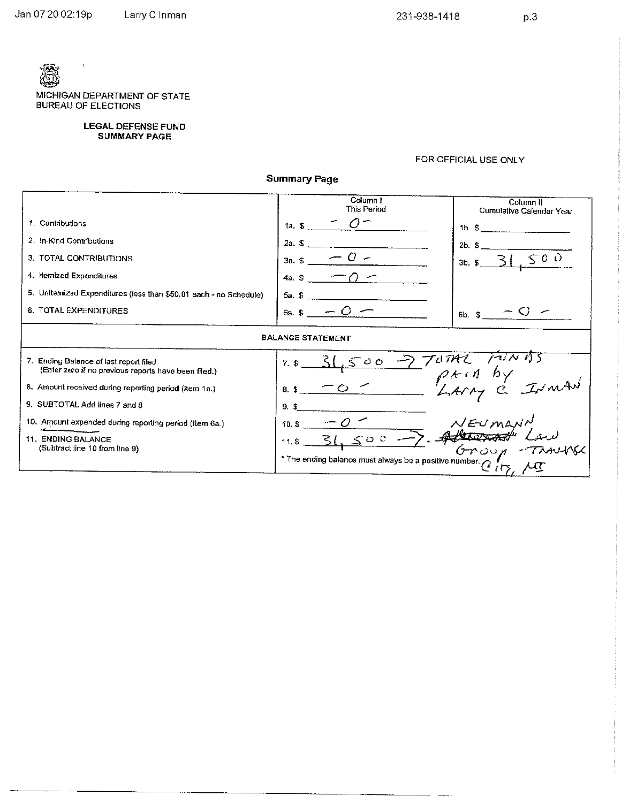$\lambda$ 

MICHIGAN DEPARTMENT OF STATE **BUREAU OF ELECTIONS** 

LEGAL DEFENSE FUND<br>SUMMARY PAGE

### FOR OFFICIAL USE ONLY

 $\sim$ u.

**Summary Page** 

|                                                                                                | Column I<br>This Period                                | Column II<br>Cumulative Calendar Year |  |  |  |
|------------------------------------------------------------------------------------------------|--------------------------------------------------------|---------------------------------------|--|--|--|
| 1. Contributions                                                                               | 1a. $$$                                                | $1b.$ $$$                             |  |  |  |
| 2. In-Kind Contributions                                                                       | 2a. S                                                  | $2b.$ \$                              |  |  |  |
| 3. TOTAL CONTRIBUTIONS                                                                         | 3a. \$                                                 | 500<br>$3b.$ $$$                      |  |  |  |
| 4. Itemized Expenditures                                                                       | 42S                                                    |                                       |  |  |  |
| 5. Unitermized Expenditures (less than \$50.01 each - no Schedule)                             | 5a. S                                                  |                                       |  |  |  |
| 6. TOTAL EXPENDITURES                                                                          | $6a.$ S                                                | 6b. S                                 |  |  |  |
| <b>BALANCE STATEMENT</b>                                                                       |                                                        |                                       |  |  |  |
| 7. Ending Balance of last report filed<br>(Enter zero if no previous reports have been filed.) | $\circ$ $\circ$<br>7.5                                 |                                       |  |  |  |
| 8. Amount received during reporting period (Item 1a.)                                          | 8.5                                                    |                                       |  |  |  |
| 9. SUBTOTAL Add lines 7 and 8                                                                  | 9.5                                                    |                                       |  |  |  |
| 10. Amount expended during reporting period (Item 6a.)                                         | 10.S                                                   |                                       |  |  |  |
| 11. ENDING BALANCE<br>(Subtract line 10 from line 9)                                           | $\leq$ 00 $\rightarrow$ , A<br>11. $S_{-}$             |                                       |  |  |  |
|                                                                                                | * The ending balance must always be a positive number. |                                       |  |  |  |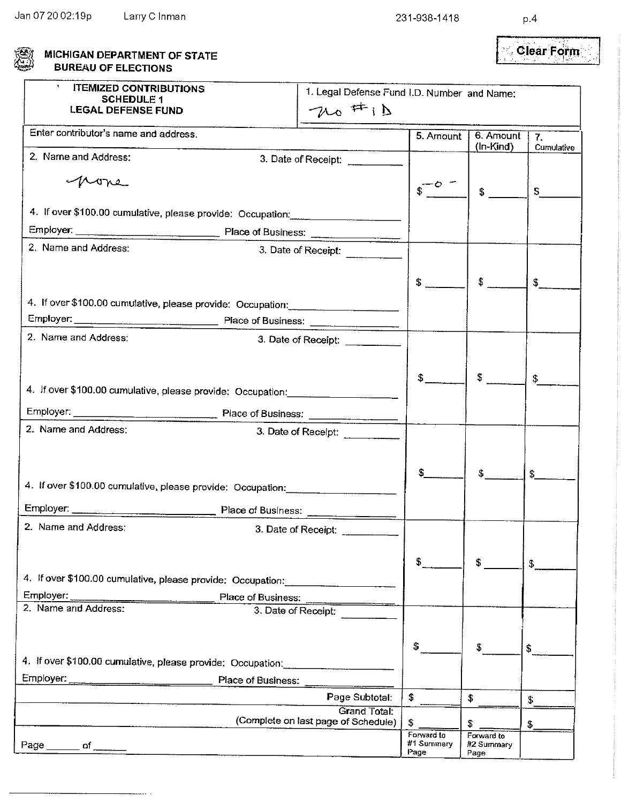. .

| S | MICHIGAN DEPARTMENT OF STATE |
|---|------------------------------|
|   | <b>BUREAU OF ELECTIONS</b>   |

#### Clear Form j.

| $\pmb{\star}$<br><b>ITEMIZED CONTRIBUTIONS</b><br><b>SCHEDULE 1</b>               | 1. Legal Defense Fund I.D. Number and Name: |                          |                          |                  |
|-----------------------------------------------------------------------------------|---------------------------------------------|--------------------------|--------------------------|------------------|
| <b>LEGAL DEFENSE FUND</b>                                                         | $70$ $#1D$                                  |                          |                          |                  |
|                                                                                   |                                             |                          |                          |                  |
| Enter contributor's name and address.                                             |                                             | 5. Amount                | 6. Amount<br>(In-Kind)   | $\overline{7}$ . |
| 2. Name and Address:                                                              | 3. Date of Receipt:                         |                          |                          | Cumulative       |
|                                                                                   |                                             |                          |                          |                  |
| none                                                                              |                                             |                          | $\mathfrak{g}$           | S.               |
| 4. If over \$100.00 cumulative, please provide: Occupation:                       |                                             |                          |                          |                  |
|                                                                                   |                                             |                          |                          |                  |
| Employer: Place of Business:<br>2. Name and Address:                              |                                             |                          |                          |                  |
|                                                                                   | 3. Date of Receipt:                         |                          |                          |                  |
|                                                                                   |                                             | \$                       | $$^{\circ}$              |                  |
|                                                                                   |                                             |                          |                          | \$               |
| 4. If over \$100.00 cumulative, please provide: Occupation:                       |                                             |                          |                          |                  |
|                                                                                   |                                             |                          |                          |                  |
| 2. Name and Address:                                                              | 3. Date of Receipt:                         |                          |                          |                  |
|                                                                                   |                                             |                          |                          |                  |
|                                                                                   |                                             | \$                       | $\int$                   | \$               |
| 4. If over \$100.00 cumulative, please provide: Occupation: _____________________ |                                             |                          |                          |                  |
|                                                                                   |                                             |                          |                          |                  |
| Employer: Place of Business:<br>2. Name and Address:                              | 3. Date of Receipt:                         |                          |                          |                  |
|                                                                                   |                                             |                          |                          |                  |
|                                                                                   |                                             |                          |                          |                  |
|                                                                                   |                                             |                          | $\mathfrak{S}$           | \$               |
| 4. If over \$100.00 cumulative, please provide: Occupation:                       |                                             |                          |                          |                  |
| Employer: Place of Business:                                                      |                                             |                          |                          |                  |
| 2. Name and Address:                                                              |                                             |                          |                          |                  |
|                                                                                   |                                             |                          |                          |                  |
|                                                                                   |                                             | \$.                      | \$                       | S.               |
| 4. If over \$100.00 cumulative, please provide: Occupation:                       |                                             |                          |                          |                  |
| Employer:<br>Place of Business:                                                   |                                             |                          |                          |                  |
| 2. Name and Address:<br>3. Date of Receipt:                                       |                                             |                          |                          |                  |
|                                                                                   |                                             |                          |                          |                  |
|                                                                                   |                                             | \$                       |                          |                  |
| 4. If over \$100.00 cumulative, please provide: Occupation:                       |                                             |                          | S                        | \$               |
| Employer:                                                                         |                                             |                          |                          |                  |
| Place of Business:                                                                |                                             |                          |                          |                  |
|                                                                                   | Page Subtotal:<br><b>Grand Total:</b>       | \$                       | \$                       | \$               |
|                                                                                   | (Complete on last page of Schedule)         | \$.                      | \$                       | \$               |
|                                                                                   |                                             | Forward to<br>#1 Summary | Forward to<br>#2 Summary |                  |
| Page _______ of ______                                                            |                                             | Page                     | Page                     |                  |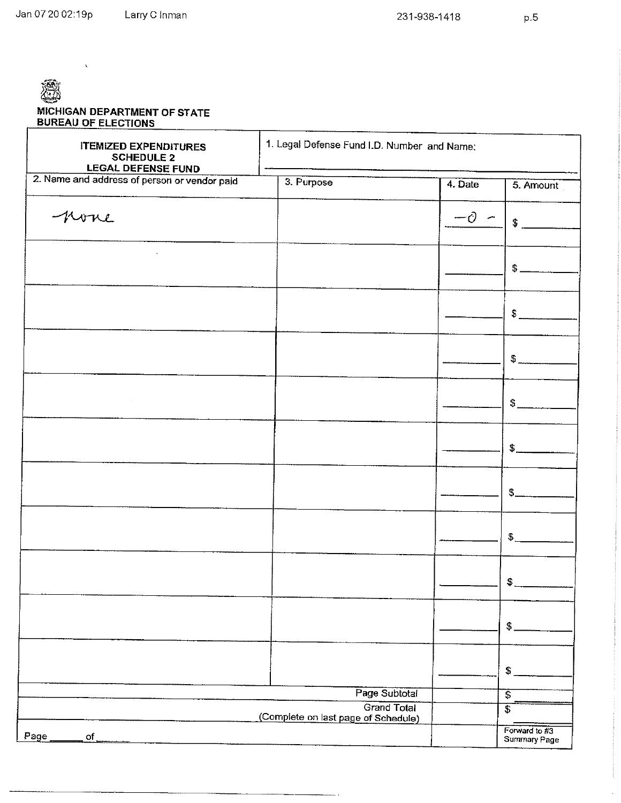$\ddot{\phantom{0}}$ 

 $p.5$ 

| MICHIGAN DEPARTMENT OF STATE<br><b>BUREAU OF ELECTIONS</b>                     |                                                           |         |                               |
|--------------------------------------------------------------------------------|-----------------------------------------------------------|---------|-------------------------------|
| <b>ITEMIZED EXPENDITURES</b><br><b>SCHEDULE 2</b><br><b>LEGAL DEFENSE FUND</b> | 1. Legal Defense Fund I.D. Number and Name:               |         |                               |
| 2. Name and address of person or vendor paid                                   | 3. Purpose                                                | 4. Date | 5. Amount                     |
| none                                                                           |                                                           | -0      | $\mathbf{f}$                  |
|                                                                                |                                                           |         | $$^{\circ}$                   |
|                                                                                |                                                           |         | \$                            |
|                                                                                |                                                           |         | $\frac{1}{2}$                 |
| $\sim$                                                                         |                                                           |         | \$                            |
|                                                                                |                                                           |         | $\frac{1}{2}$                 |
|                                                                                |                                                           |         | \$.                           |
|                                                                                |                                                           |         | $\overline{\mathcal{L}}$      |
|                                                                                |                                                           |         | $\mathfrak{S}$                |
|                                                                                |                                                           |         | $\mathfrak{F}$                |
|                                                                                |                                                           |         | S.                            |
|                                                                                | Page Subtotal                                             |         | \$                            |
|                                                                                | <b>Grand Total</b><br>(Complete on last page of Schedule) |         | $\overline{s}$                |
| Page<br><b>of</b>                                                              |                                                           |         | Forward to #3<br>Summary Page |

 $\overline{\phantom{a}}$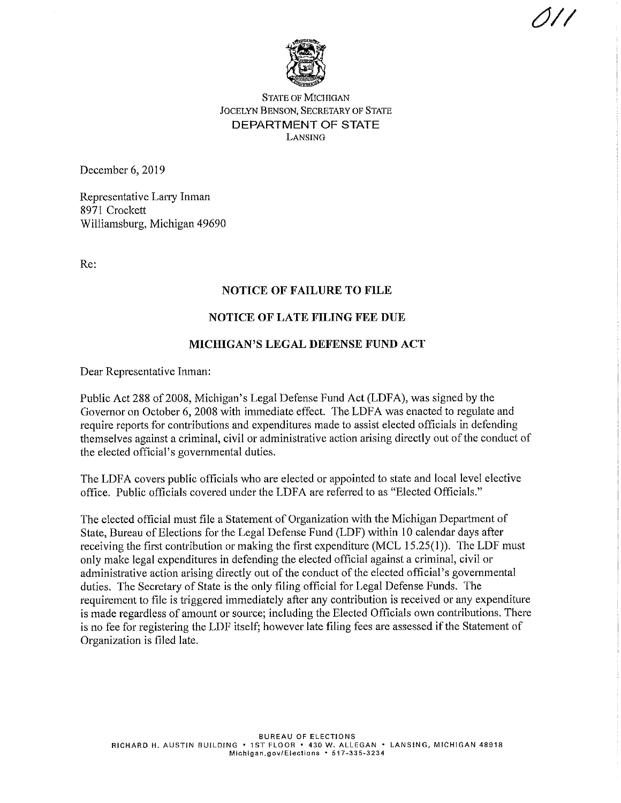

## **STATE OF MICHIGAN JOCELYN BENSON, SECRETARY OF STATE DEPARTMENT OF STATE** LANSING

December 6, 2019

Representative Larry Inman 8971 Crockett Williamsburg, Michigan 49690

Re:

## **NOTICE OF FAILURE TO FILE**

## **NOTICE OF LATE FILING FEE DUE**

## MICHIGAN'S LEGAL DEFENSE FUND ACT

Dear Representative Inman:

Public Act 288 of 2008, Michigan's Legal Defense Fund Act (LDFA), was signed by the Governor on October 6, 2008 with immediate effect. The LDFA was enacted to regulate and require reports for contributions and expenditures made to assist elected officials in defending themselves against a criminal, civil or administrative action arising directly out of the conduct of the elected official's governmental duties.

The LDFA covers public officials who are elected or appointed to state and local level elective office. Public officials covered under the LDFA are referred to as "Elected Officials."

The elected official must file a Statement of Organization with the Michigan Department of State, Bureau of Elections for the Legal Defense Fund (LDF) within 10 calendar days after receiving the first contribution or making the first expenditure (MCL  $15.25(1)$ ). The LDF must only make legal expenditures in defending the elected official against a criminal, civil or administrative action arising directly out of the conduct of the elected official's governmental duties. The Secretary of State is the only filing official for Legal Defense Funds. The requirement to file is triggered immediately after any contribution is received or any expenditure is made regardless of amount or source; including the Elected Officials own contributions. There is no fee for registering the LDF itself; however late filing fees are assessed if the Statement of Organization is filed late.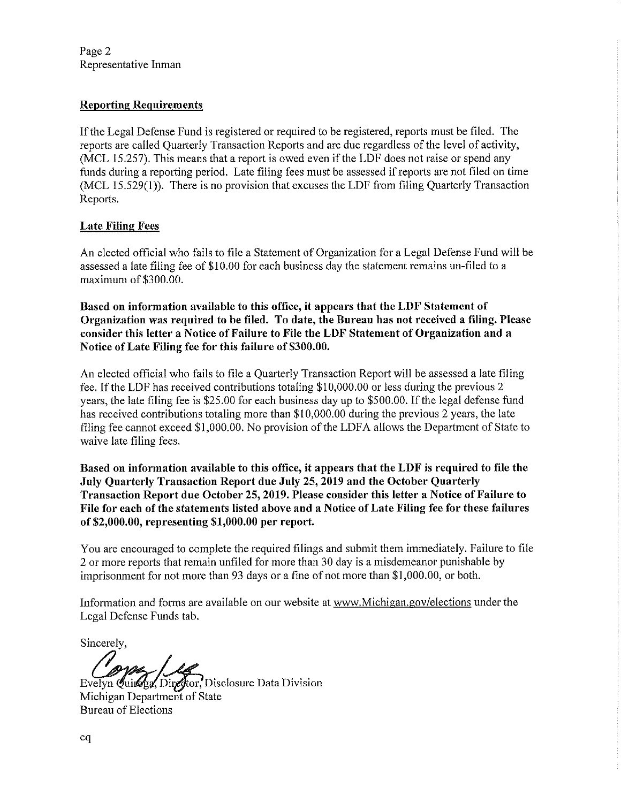Page 2 Representative Inman

# **Reporting Requirements**

If the Legal Defense Fund is registered or required to be registered, reports must be filed. The reports are called Quarterly Transaction Reports and are due regardless of the level of activity, (MCL 15.257). This means that a report is owed even if the LDF does not raise or spend any funds during a reporting period. Late filing fees must be assessed if reports are not filed on time (MCL 15.529(1)). There is no provision that excuses the LDF from filing Quarterly Transaction Reports.

# **Late Filing Fees**

An elected official who fails to file a Statement of Organization for a Legal Defense Fund will be assessed a late filing fee of \$10.00 for each business day the statement remains un-filed to a maximum of \$300.00.

Based on information available to this office, it appears that the LDF Statement of Organization was required to be filed. To date, the Bureau has not received a filing. Please consider this letter a Notice of Failure to File the LDF Statement of Organization and a Notice of Late Filing fee for this failure of \$300.00.

An elected official who fails to file a Quarterly Transaction Report will be assessed a late filing fee. If the LDF has received contributions totaling \$10,000.00 or less during the previous 2 years, the late filing fee is \$25.00 for each business day up to \$500.00. If the legal defense fund has received contributions totaling more than \$10,000.00 during the previous 2 years, the late filing fee cannot exceed \$1,000.00. No provision of the LDFA allows the Department of State to waive late filing fees.

Based on information available to this office, it appears that the LDF is required to file the July Ouarterly Transaction Report due July 25, 2019 and the October Quarterly Transaction Report due October 25, 2019. Please consider this letter a Notice of Failure to File for each of the statements listed above and a Notice of Late Filing fee for these failures of \$2,000.00, representing  $$1,000.00$  per report.

You are encouraged to complete the required filings and submit them immediately. Failure to file 2 or more reports that remain unfiled for more than 30 day is a misdemeanor punishable by imprisonment for not more than 93 days or a fine of not more than \$1,000.00, or both.

Information and forms are available on our website at www.Michigan.gov/elections under the Legal Defense Funds tab.

Sincerely.

Evelyn Quings, Director, Disclosure Data Division Michigan Department of State **Bureau of Elections**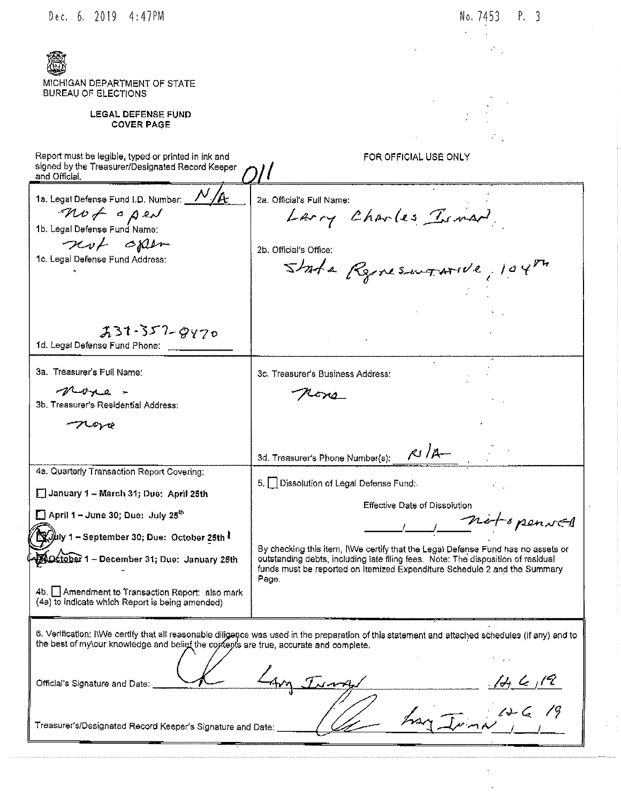|  | Dec. 6. |  | 2019 | 4:47PM |
|--|---------|--|------|--------|
|--|---------|--|------|--------|

 $\overline{a}$ 

 $\ddot{\phantom{0}}$  $\overline{\phantom{a}}$ 

| MICHIGAN DEPARTMENT OF STATE<br>BUREAU OF ELECTIONS                                                                      |                                                                                                                                                                        |
|--------------------------------------------------------------------------------------------------------------------------|------------------------------------------------------------------------------------------------------------------------------------------------------------------------|
| <b>LEGAL DEFENSE FUND</b><br><b>COVER PAGE</b>                                                                           |                                                                                                                                                                        |
|                                                                                                                          | $\mathcal{L}_{\text{max}}$                                                                                                                                             |
| Report must be legible, typed or printed in ink and<br>signed by the Treasurer/Designated Record Keeper<br>and Official, | FOR OFFICIAL USE ONLY                                                                                                                                                  |
|                                                                                                                          |                                                                                                                                                                        |
| 1a. Legal Defense Fund I.D. Number: V/A                                                                                  | 2a. Official's Full Name:                                                                                                                                              |
| not open<br>1b. Legal Defense Fund Name:                                                                                 | Larry Charles Isman                                                                                                                                                    |
| not open                                                                                                                 | 2b. Official's Office:                                                                                                                                                 |
| 1c. Legal Defense Fund Address:                                                                                          |                                                                                                                                                                        |
|                                                                                                                          | State Renesurative, 104th                                                                                                                                              |
|                                                                                                                          |                                                                                                                                                                        |
|                                                                                                                          |                                                                                                                                                                        |
| $231 - 357 - 8470$                                                                                                       | and the company of the                                                                                                                                                 |
| 1d. Legal Defense Fund Phone:                                                                                            |                                                                                                                                                                        |
| 3a. Treasurer's Full Name:                                                                                               | 3c. Treasurer's Business Address:                                                                                                                                      |
| More -                                                                                                                   |                                                                                                                                                                        |
| 3b. Treasurer's Residential Address:                                                                                     |                                                                                                                                                                        |
|                                                                                                                          |                                                                                                                                                                        |
|                                                                                                                          | $\kappa$ /A $-$<br>3d. Treasurer's Phone Number(s);                                                                                                                    |
| 4a. Quarterly Transaction Report Covering;                                                                               | 5. [ Dissolution of Legal Defense Fund:                                                                                                                                |
| January 1 - March 31; Due: April 25th                                                                                    | V.                                                                                                                                                                     |
| $\Box$ April 1 - June 30; Due: July 25 <sup>th</sup>                                                                     | Effective Date of Dissolution                                                                                                                                          |
| $\int$ uly 1 – September 30; Due:  October 25th $\bf{l}$                                                                 | not openNE1                                                                                                                                                            |
|                                                                                                                          | By checking this item, IWe certify that the Legal Defense Fund has no assets or                                                                                        |
| October 1 - December 31; Due: January 25th                                                                               | outstanding debts, including late filing fees. Note: The disposition of residual<br>funds must be reported on Itemized Expenditure Schedule 2 and the Summary<br>Page. |
| 4b. Amendment to Transaction Report: also mark                                                                           |                                                                                                                                                                        |
| (4a) to indicate which Report is being amended)                                                                          |                                                                                                                                                                        |
| the best of my\our knowledge and belief the contents are true, accurate and complete.                                    | 6. Verification: IWVe certify that all reasonable diligence was used in the preparation of this statement and attached schedules (if any) and to                       |
|                                                                                                                          |                                                                                                                                                                        |
| Official's Signature and Date:                                                                                           | $\mathcal{A} \subset \mathcal{A}$                                                                                                                                      |
|                                                                                                                          |                                                                                                                                                                        |
| Treasurer's/Designated Record Keeper's Signature and Date:                                                               |                                                                                                                                                                        |
|                                                                                                                          |                                                                                                                                                                        |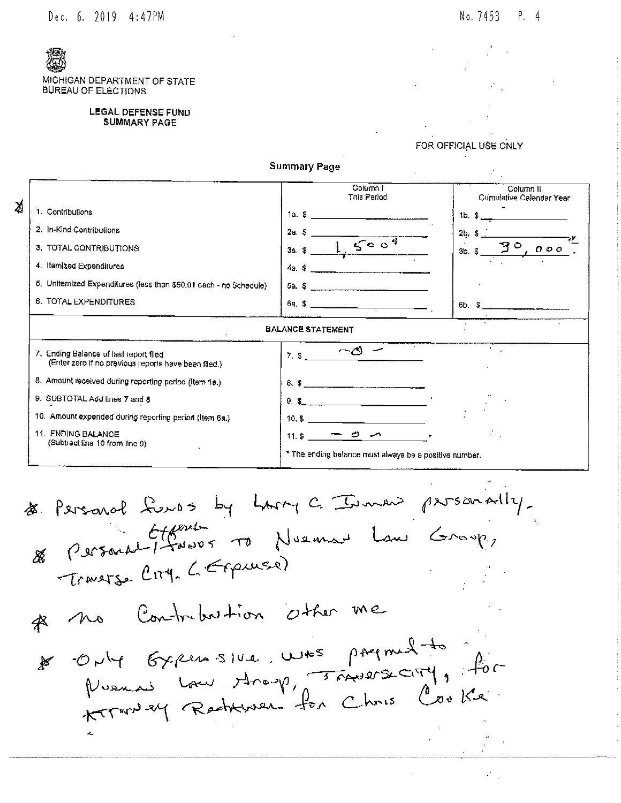

MICHIGAN DEPARTMENT OF STATE **BUREAU OF ELECTIONS** 

#### **LEGAL DEFENSE FUND SUMMARY PAGE**

FOR OFFICIAL USE ONLY





Personal funos by Larry C. Immer personally.<br>German Ciferrat To Nueman Law Group, Æ Œ, Traverse City, L'Expresse) no Contribution other me Only Gypen sive was paymed to  $\mathbb{R}$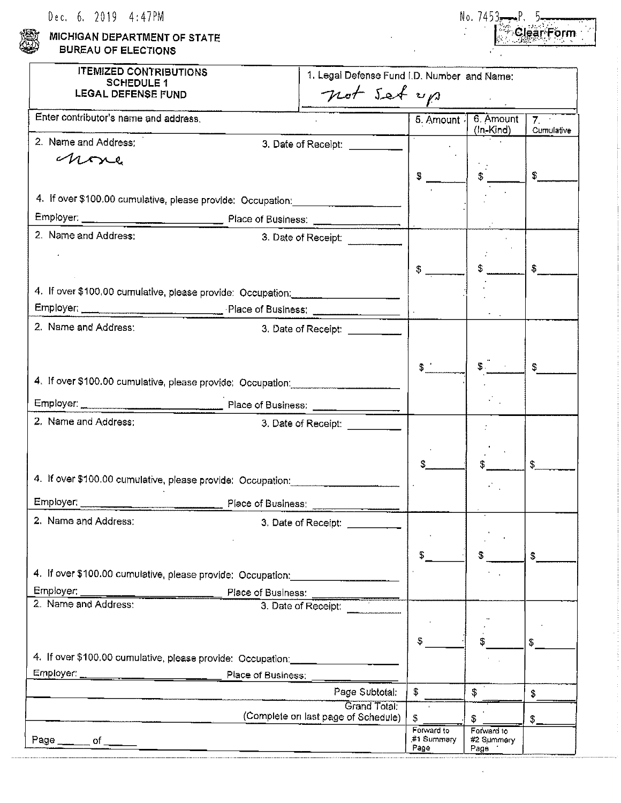| Dec. 6. 2019 | 4:47PM |
|--------------|--------|
|--------------|--------|

MICHIGAN DEPARTMENT OF STATE **BUREAU OF ELECTIONS** 

| NO. | $(453 - P)$ |           |  |
|-----|-------------|-----------|--|
|     |             | lear Form |  |
|     |             |           |  |

 $\hat{\boldsymbol{\beta}}$ 

| <b>ITEMIZED CONTRIBUTIONS</b><br><b>SCHEDULE 1</b><br>LEGAL DEFENSE FUND          | 1. Legal Defense Fund I.D. Number and Name:<br>not set up |                    |                        |                              |
|-----------------------------------------------------------------------------------|-----------------------------------------------------------|--------------------|------------------------|------------------------------|
| Enter contributor's name and address.                                             |                                                           | 5. Amount          | 6. Amount<br>(In-Kind) | $\overline{7}$<br>Cumulative |
| 2. Name and Address:                                                              |                                                           |                    |                        |                              |
| none                                                                              |                                                           |                    |                        |                              |
|                                                                                   |                                                           | S                  | $\mathfrak{L}$         | \$                           |
| 4. If over \$100,00 cumulative, please provide: Occupation: _____________________ |                                                           |                    |                        |                              |
|                                                                                   |                                                           |                    |                        |                              |
| 2. Name and Address:                                                              | 3. Date of Receipt:                                       |                    |                        |                              |
|                                                                                   |                                                           |                    |                        |                              |
|                                                                                   |                                                           | \$.                |                        | \$                           |
| 4. If over \$100.00 curriculative, please provide: Occupation: __________________ |                                                           |                    |                        |                              |
| Employer: Place of Business: Place of Business:                                   |                                                           |                    |                        |                              |
| 2. Name and Address:                                                              | 3. Date of Receipt: __________                            |                    |                        |                              |
|                                                                                   |                                                           |                    |                        |                              |
|                                                                                   |                                                           |                    |                        |                              |
|                                                                                   |                                                           | $$^{\circ}$        | $\frac{1}{2}$          | \$                           |
| 4. If over \$100.00 cumulative, please provide: Occupation:                       |                                                           |                    |                        |                              |
|                                                                                   |                                                           |                    |                        |                              |
| 2. Name and Address;                                                              | 3. Date of Receipt: _________                             |                    |                        |                              |
|                                                                                   |                                                           |                    |                        |                              |
|                                                                                   |                                                           |                    |                        | \$                           |
| 4. If over \$100.00 cumulative, please provide: Occupation:                       |                                                           |                    |                        |                              |
| Employer: Place of Business:                                                      |                                                           |                    |                        |                              |
| 2. Name and Address:                                                              | 3. Date of Receipt: _________                             |                    |                        |                              |
|                                                                                   |                                                           |                    |                        |                              |
|                                                                                   |                                                           | \$                 |                        | \$                           |
| 4. If over \$100.00 cumulative, please provide: Occupation:                       |                                                           |                    |                        |                              |
| Employer:<br>Place of Business:                                                   |                                                           |                    |                        |                              |
| 2. Name and Address:                                                              | 3. Date of Receipt:                                       |                    |                        |                              |
|                                                                                   |                                                           |                    |                        |                              |
|                                                                                   |                                                           | \$                 |                        | \$                           |
| 4. If over \$100.00 cumulative, please provide: Occupation: ________________      |                                                           |                    |                        |                              |
|                                                                                   |                                                           |                    |                        |                              |
|                                                                                   | Page Subtotal:                                            | \$                 | \$                     | \$                           |
|                                                                                   | Grand Total:                                              |                    |                        |                              |
|                                                                                   | (Complete on last page of Schedule)                       | \$<br>Forward to   | \$<br>Forward to       | $\frac{1}{2}$                |
| Page ______ of ____                                                               |                                                           | #1 Summary<br>Page | #2 Summery<br>Page     |                              |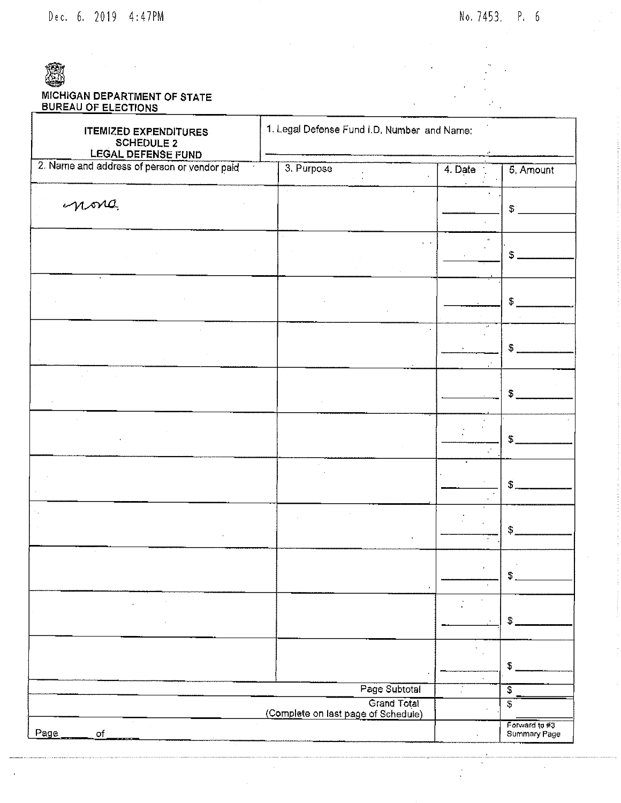Dec. 6. 2019 4:47PM

 $\mathcal{L}_{\mathcal{A}}$ 

 $\epsilon$ 

 $\frac{1}{2}$ 

 $\bar{ }$ 

# MICHIGAN DEPARTMENT OF STATE<br>BUREAU OF ELECTIONS

| 1. Legal Defense Fund I.D. Number and Name:<br><b>ITEMIZED EXPENDITURES</b><br><b>SCHEDULE 2</b><br>LEGAL DEFENSE FUND |                                                                            |                                               |                                                 |
|------------------------------------------------------------------------------------------------------------------------|----------------------------------------------------------------------------|-----------------------------------------------|-------------------------------------------------|
| 2. Name and address of person or vendor paid                                                                           | 3 Purpose                                                                  | 4. Date                                       | 5. Amount                                       |
| nora                                                                                                                   |                                                                            |                                               | \$                                              |
|                                                                                                                        | . .                                                                        | $\alpha$                                      | $\mathbb S$                                     |
|                                                                                                                        |                                                                            |                                               | $\mathfrak{F}$                                  |
|                                                                                                                        |                                                                            | $\mathbf{a}$                                  | \$                                              |
|                                                                                                                        |                                                                            |                                               | \$                                              |
|                                                                                                                        |                                                                            |                                               | S.                                              |
|                                                                                                                        |                                                                            |                                               | $\mathfrak{s}$                                  |
|                                                                                                                        |                                                                            |                                               | $\mathbf{\$}$                                   |
|                                                                                                                        |                                                                            |                                               | \$                                              |
| $\cdot$                                                                                                                |                                                                            | $\epsilon$<br>$\cdot$                         | \$                                              |
|                                                                                                                        |                                                                            | $\mathbf{r}$<br>$\hat{\mathbf{r}}$<br>$\cdot$ | \$                                              |
|                                                                                                                        | Page Subtotal<br><b>Grand Total</b><br>(Complete on last page of Schedule) | ŗ                                             | $\overline{\mathcal{E}}$<br>\$<br>Forward to #3 |
| Page<br>$\sigma f$                                                                                                     |                                                                            |                                               | Summary Page                                    |

 $\sim$   $\sim$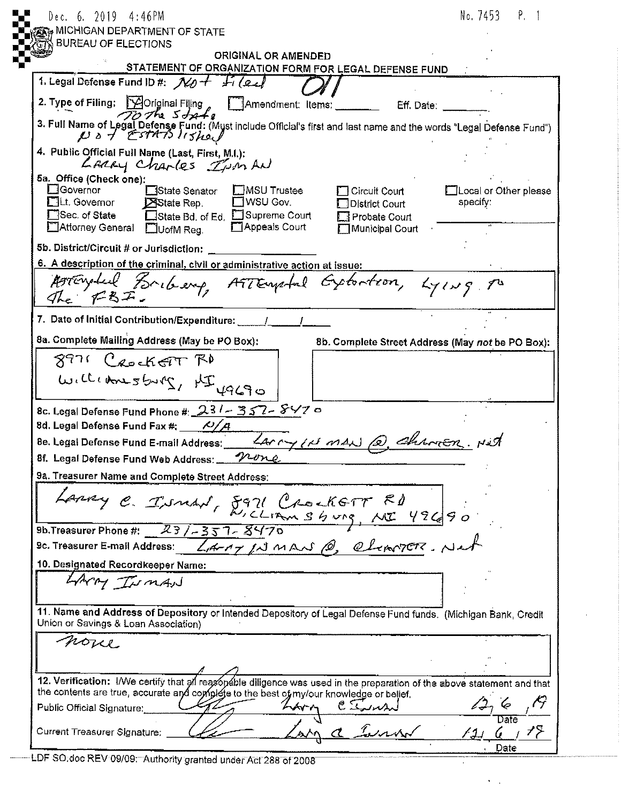| Dec. 6. 2019 4:46PM                                                                                                                                                                                                                                                                                                                              | No. 7453 P. 1                     |
|--------------------------------------------------------------------------------------------------------------------------------------------------------------------------------------------------------------------------------------------------------------------------------------------------------------------------------------------------|-----------------------------------|
| <sub>हैं†</sub> MICHIGAN DEPARTMENT OF STATE                                                                                                                                                                                                                                                                                                     |                                   |
| <b>BUREAU OF ELECTIONS</b><br>ORIGINAL OR AMENDED                                                                                                                                                                                                                                                                                                |                                   |
| STATEMENT OF ORGANIZATION FORM FOR LEGAL DEFENSE FUND                                                                                                                                                                                                                                                                                            |                                   |
| 1. Legal Defense Fund ID #: $N$ + $H$ (eal                                                                                                                                                                                                                                                                                                       |                                   |
| 2. Type of Filing: [Yoriginal Filing , [T]Amendment: Items: ________ Eff. Date: _____<br>$\overline{70}$ The $5$ <i>dg</i> $\overline{48}$                                                                                                                                                                                                       |                                   |
| 3. Full Name of Logal Defense Fund: (Myst include Official's first and last name and the words "Legal Defense Fund")                                                                                                                                                                                                                             |                                   |
| 4. Public Official Full Name (Last, First, M.I.):<br>LARRY Charles Ism AN                                                                                                                                                                                                                                                                        |                                   |
| 5a. Office (Check one):<br><b>C</b> Governor<br>□MSU Trustee<br>□State Senator<br>$\Box$ Circuit Court<br>$\Box$ WSU Gov.<br>$\Box$ Lt. Governor<br>State Rep.<br>$\Box$ District Court<br>□Sec. of State<br>□State Bd. of Ed. □Supreme Court<br>$\Box$ Probate Court<br>Appeals Court<br>Attorney General <b>DUofM</b> Reg.<br>]Municipal Court | Local or Other please<br>specify: |
| 5b. District/Circuit # or Jurisdiction:                                                                                                                                                                                                                                                                                                          |                                   |
| 6. A description of the criminal, civil or administrative action at issue:                                                                                                                                                                                                                                                                       |                                   |
| Arrivaled Bribery ATTEmptal Extention, Lying po<br>The $F3F$ .                                                                                                                                                                                                                                                                                   |                                   |
| 7. Date of Initial Contribution/Expenditure: _____/                                                                                                                                                                                                                                                                                              |                                   |
| 8a. Complete Mailing Address (May be PO Box):<br>8b. Complete Street Address (May not be PO Box):                                                                                                                                                                                                                                                |                                   |
| 8971 CeockeTT RD                                                                                                                                                                                                                                                                                                                                 |                                   |
| WILLIAMSburg, HIYAGO                                                                                                                                                                                                                                                                                                                             |                                   |
| 8c. Legal Defense Fund Phone #: $231 - 357 - 857$                                                                                                                                                                                                                                                                                                |                                   |
| 8d. Legal Defense Fund Fax #: $\frac{N}{A}$                                                                                                                                                                                                                                                                                                      |                                   |
| Be. Legal Defense Fund E-mail Address: <u>LAMMY/N MAN (e)</u> Chamen. Net                                                                                                                                                                                                                                                                        |                                   |
| 8f. Legal Defense Fund Web Address: 120ne                                                                                                                                                                                                                                                                                                        |                                   |
| 9a. Treasurer Name and Complete Street Address:                                                                                                                                                                                                                                                                                                  |                                   |
| Laney C. INNAN, 8971 CrockETT ED                                                                                                                                                                                                                                                                                                                 |                                   |
| 9b. Treasurer Phone #: $23/7357 - 8470$                                                                                                                                                                                                                                                                                                          |                                   |
| 9c. Treasurer E-mail Address: <i>LAMP IN MAN @ elemnocon</i> , Net                                                                                                                                                                                                                                                                               |                                   |
| 10. Designated Recordkeeper Name:                                                                                                                                                                                                                                                                                                                |                                   |
| LAMY INMAN                                                                                                                                                                                                                                                                                                                                       |                                   |
| 11. Name and Address of Depository or Intended Depository of Legal Defense Fund funds. (Michigan Bank, Credit<br>Union or Savings & Loan Association)                                                                                                                                                                                            |                                   |
| noue                                                                                                                                                                                                                                                                                                                                             |                                   |
|                                                                                                                                                                                                                                                                                                                                                  |                                   |
| 12. Verification: I/We certify that all reasonable diligence was used in the preparation of the above statement and that<br>the contents are true, accurate and complete to the best of my/our knowledge or belief.                                                                                                                              |                                   |
| LARM<br>Public Official Signature:                                                                                                                                                                                                                                                                                                               |                                   |
| and der<br>Current Treasurer Signature;                                                                                                                                                                                                                                                                                                          | Date                              |
|                                                                                                                                                                                                                                                                                                                                                  | Date                              |

 $\mathcal{A}$ 

 $\epsilon_{\rm{max}}$ 

LDF SO.doc REV 09/09. Authority granted under Act 288 of 2008